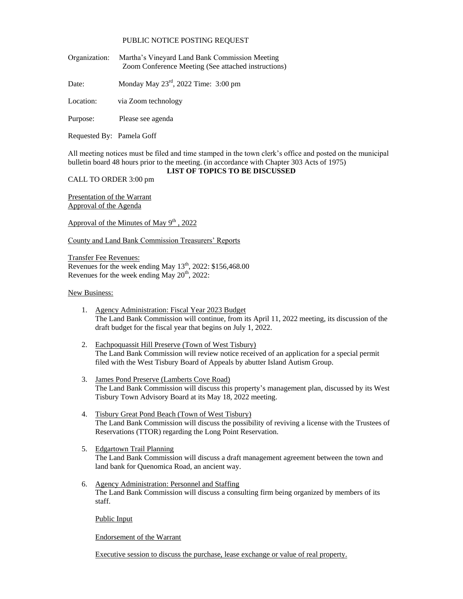## PUBLIC NOTICE POSTING REQUEST

Organization: Martha's Vineyard Land Bank Commission Meeting Zoom Conference Meeting (See attached instructions)

Date: Monday May  $23<sup>rd</sup>$ , 2022 Time: 3:00 pm

Location: via Zoom technology

Purpose: Please see agenda

Requested By: Pamela Goff

All meeting notices must be filed and time stamped in the town clerk's office and posted on the municipal bulletin board 48 hours prior to the meeting. (in accordance with Chapter 303 Acts of 1975)

## **LIST OF TOPICS TO BE DISCUSSED**

CALL TO ORDER 3:00 pm

Presentation of the Warrant Approval of the Agenda

Approval of the Minutes of May  $9^{th}$ , 2022

County and Land Bank Commission Treasurers' Reports

Transfer Fee Revenues: Revenues for the week ending May  $13<sup>th</sup>$ , 2022: \$156,468.00 Revenues for the week ending May  $20<sup>th</sup>$ , 2022:

## New Business:

- 1. Agency Administration: Fiscal Year 2023 Budget The Land Bank Commission will continue, from its April 11, 2022 meeting, its discussion of the draft budget for the fiscal year that begins on July 1, 2022.
- 2. Eachpoquassit Hill Preserve (Town of West Tisbury) The Land Bank Commission will review notice received of an application for a special permit filed with the West Tisbury Board of Appeals by abutter Island Autism Group.
- 3. James Pond Preserve (Lamberts Cove Road) The Land Bank Commission will discuss this property's management plan, discussed by its West Tisbury Town Advisory Board at its May 18, 2022 meeting.
- 4. Tisbury Great Pond Beach (Town of West Tisbury) The Land Bank Commission will discuss the possibility of reviving a license with the Trustees of Reservations (TTOR) regarding the Long Point Reservation.
- 5. Edgartown Trail Planning The Land Bank Commission will discuss a draft management agreement between the town and land bank for Quenomica Road, an ancient way.
- 6. Agency Administration: Personnel and Staffing The Land Bank Commission will discuss a consulting firm being organized by members of its staff.

Public Input

Endorsement of the Warrant

Executive session to discuss the purchase, lease exchange or value of real property.